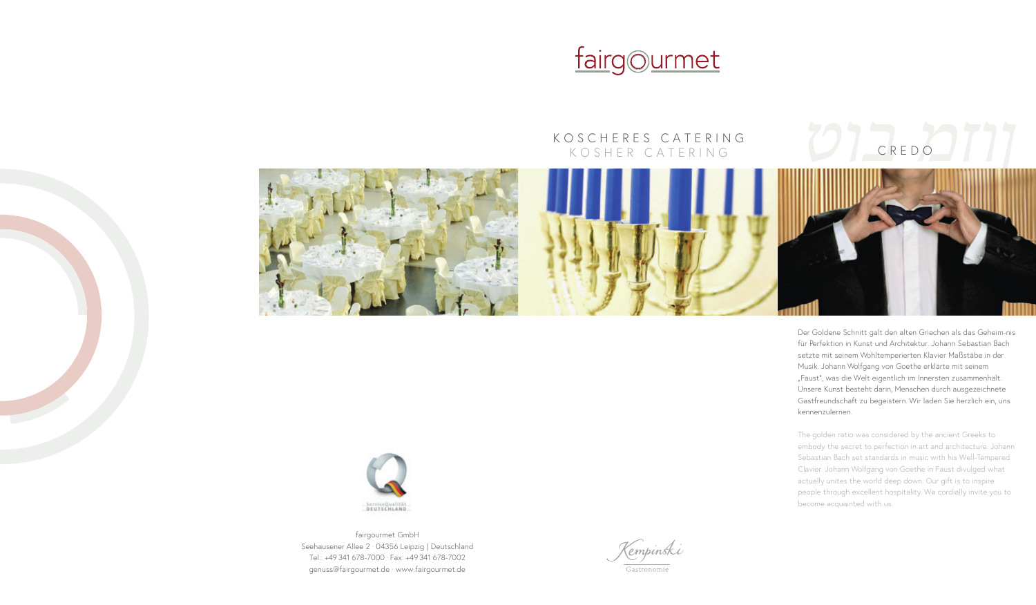## fairgourmet

### KOSCHERES CATERING KOSCHERES CATERING KOSHER CATERING CREDO KOSHER CATERING CREDO

# *ןוזמ בוט ןוזמ בוט*



Der Goldene Schnitt galt den alten Griechen als das Geheim-nis Der Goldene Schnitt galt den alten Griechen als das Geheim-nis für Perfektion in Kunst und Architektur. Johann Sebastian Bach für Perfektion in Kunst und Architektur. Johann Sebastian Bach setzte mit seinem Wohltemperierten Klavier Maßstäbe in der setzte mit seinem Wohltemperierten Klavier Maßstäbe in der Musik. Johann Wolfgang von Goethe erklärte mit seinem Musik. Johann Wolfgang von Goethe erklärte mit seinem "Faust", was die Welt eigentlich im Innersten zusammenhält. "Faust", was die Welt eigentlich im Innersten zusammenhält. Unsere Kunst besteht darin, Menschen durch ausgezeichnete Unsere Kunst besteht darin, Menschen durch ausgezeichnete Gastfreundschaft zu begeistern. Wir laden Sie herzlich ein, uns Gastfreundschaft zu begeistern. Wir laden Sie herzlich ein, uns kennenzulernen. kennenzulernen.

The golden ratio was considered by the ancient Greeks to The golden ratio was considered by the ancient Greeks to embody the secret to perfection in art and architecture. Johann embody the secret to perfection in art and architecture. Johann Sebastian Bach set standards in music with his Well-Tempered Sebastian Bach set standards in music with his Well-Tempered Clavier. Johann Wolfgang von Goethe in Faust divulged what Clavier. Johann Wolfgang von Goethe in Faust divulged what actually unites the world deep down. Our gift is to inspire actually unites the world deep down. Our gift is to inspire people through excellent hospitality. We cordially invite you to people through excellent hospitality. We cordially invite you to become acquainted with us. become acquainted with us.



fairgourmet GmbH fairgourmet GmbH Seehausener Allee 2 · 04356 Leipzig | Deutschland Seehausener Allee 2 · 04356 Leipzig | Deutschland Tel.: +49 341 678-7000 · Fax: +49 341 678-7002 Tel.: +49 341 678-7000 · Fax: +49 341 678-7002 genuss@fairgourmet.de · www.fairgourmet.de genuss@fairgourmet.de · www.fairgourmet.de

Kempinski Gastronomie